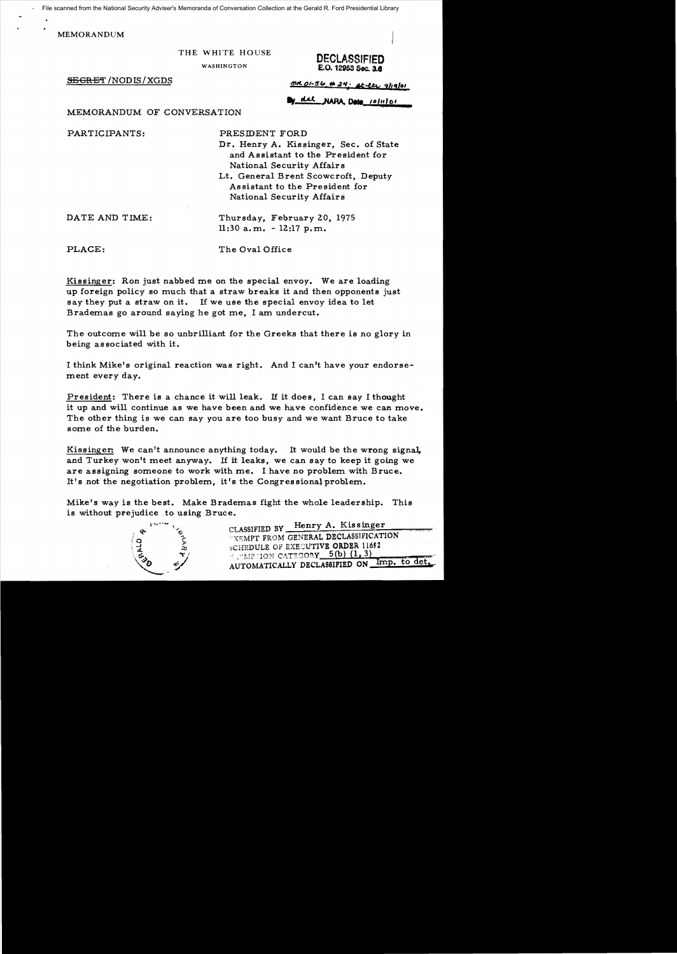File scanned from the National Security Adviser's Memoranda of Conversation Collection at the Gerald R. Ford Presidential Library

MEMORANDUM

THE WHITE HOUSE **DECLASSIFIED** E.O. 12953 Sec. 3.6

 $SEGRET/NODIS/XGDS$   $M.0154; U.41; U.41;$ </u></u>

del NARA Data 10/11/01

**<sup>=</sup>**MEMORANDUM OF CONVERSATION

PARTICIPANTS: PRESIDENT FORD

Dr. Henry A. Kissinger, Sec. of State and Assistant to the President for National Security Affairs

Lt. General Brent Scowcroft, Deputy Assistant to the President for National Security Affairs

DATE AND TIME: Thursday, February 20, 1975  $11:30$  a.m.  $-12:17$  p.m.

PLACE: The Oval Office

Kissinger: Ron just nabbed me on the special envoy. We are loading up foreign policy so much that a straw breaks it and then opponents just say they put a straw on it. If we use the special envoy idea to let Brademas go around saying he got me, I am undercut.

The outcome will be so unbrilliant for the Greeks that there is no glory in being associated with it.

I think Mike's original reaction was right. And I can't have your endorsement every day.

President: There is a chance it will leak. If it does, I can say I thought it up and will continue as we have been and we have confidence we can move. The other thing is we can say you are too busy and we want Bruce to take some of the burden.

Kissinger: We can't announce anything today. It would be the wrong signa], and Turkey won't meet anyway. If it leaks, we can say to keep it going we are assigning someone to work with me. I have no problem with Bruce. It's not the negotiation problem, it's the Congressional problem.

Mike's way is the best. Make Brademas fight the whole leadership. This is without prejudice to using Bruce.



CLASSIFIED BY Henry A. Kissinger **TXEMPT FROM GENERAL DECLASSIFICATION** SCHEDULE OF EXESUTIVE ORDER 11652  $:$  :  $\mathbb{CP}$  :ION CATEGORY  $5(b)$  (1,3) AUTOMATICALLY DECLASSIFIED ON Imp. to det.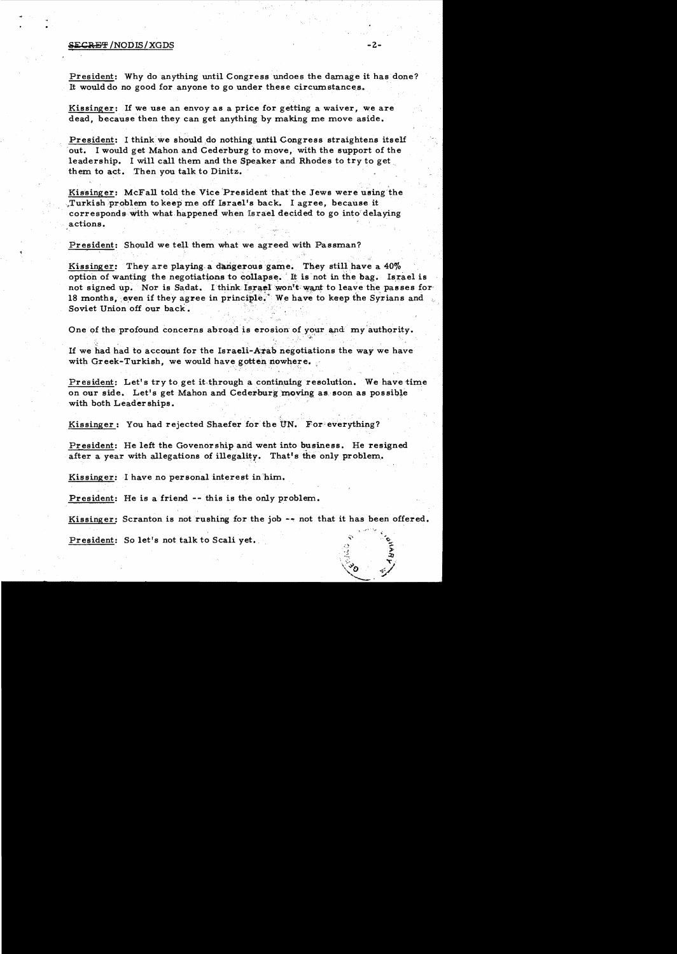## s.ECR:l~j':f *INODIS/XGDS* -2

President: Why do anything until Congress undoes the damage it has done? It would do no good for anyone to go under these circumstances..

Kissinger: If we use an envoy as a price for getting a waiver, we are dead, because then they can get anything by making me move aside.

President: I think we should do nothing until Congress straightens itself out. I would get Mahon and Cederburg to move, with the support of the leadership. I will call them and the Speaker and Rhodes to try to get them to act. Then you talk to Dinitz.

Kissinger: McFall told the Vice President that the Jews were using the ,Turkish'problem to keep me off Israel's back. I agree, because it ' correspondswtth what happened when Israel decided to go into'delaying actions.

President: Should we tell them what we agreed with Passman?

Kissinger: They are playing a dangerous game. They still have a  $40\%$ option of wanting the negotiations to collapse. It is not in the bag. Israel is not signed up. Nor is Sadat. I think Israel won't want to leave the passes for 18 months, even if they agree in principle.<sup>\*</sup> We have to keep the Syrians and Soviet Union off our back.

One of the profound concerns abroad is erosion of your and my authority.

If we had had to account for the Israeli-Arab negotiations the way we have with Greek-Turkish, we would have gotten nowhere.

President: Let's try to get it through a continuing resolution. We have time on our side. Let's get Mahon and Cederburg moving as soon as possible with both Leaderships.

Kissinger: You had rejected Shaefer for the UN. For everything?

President: He left the Govenorshipand went into business. He resigned after a year with allegations of illegality. That's the only problem.

Kissinger: I have no personal interest in 'him.

President: He is a friend -- this is the only problem.

Kissinger: Scranton is not rushing for the job  $-$  not that it has been offered.

President: So let's not talk to Scali yet.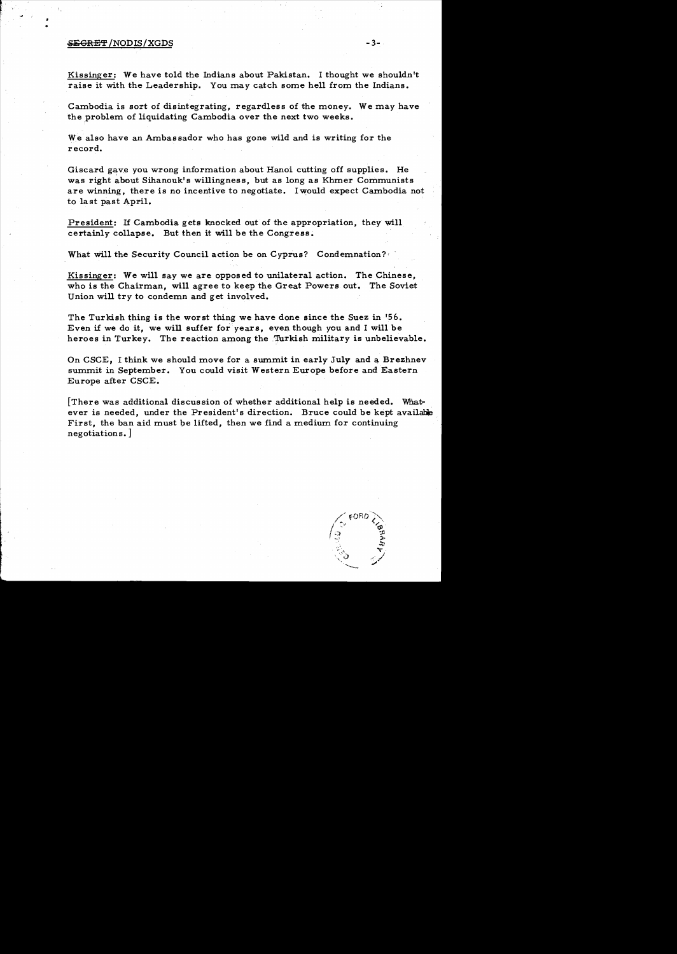## $SEGRET/NODIS/XGDS$  -3-

•

Kissinger: We have told the Indians about Pakistan. I thought we shouldn't raise it with the Leadership. You may catch some hell from the Indians.

Cambodia is sort of disintegrating, regardless of the money. We may have the problem of liquidating Cambodia over the next two weeks.

We also have an Ambassador who has gone wild and is writing for the record.

Giscard gave you wrong information about Hanoi cutting off supplies. He was right about Sihanouk's willingness, but as long as Khmer Communists are winning, there is no incentive to negotiate. I would expect Cambodia not to last past April.

President: If Cambodia gets knocked out of the appropriation, they will certainly collapse. But then it will be the Congress.

What will the Security Council action be on Cyprus? Condemnation?

Kissinger: We will say we are opposed to unilateral action. The Chinese, who is the Chairman, will agree to keep the Great Powers out. The Soviet Union will *try* to condemn and get involved.

The Turkish thing is the worst thing we have done since the Suez in '56. Even if we do it, we will suffer for years, even though *you* and I will be heroes in Turkey. The reaction among the Turkish military is unbelievable.

On CSCE, I think we should move for a summit in early July and a Brezhnev summit in September. You could visit Western Europe before and Eastern Europe after CSCE.

[There was additional discussion of whether additional help is needed. Whatever is needed, under the President's direction. Bruce could be kept available First, the ban aid must be lifted, then we find a medium for continuing negotiations. ]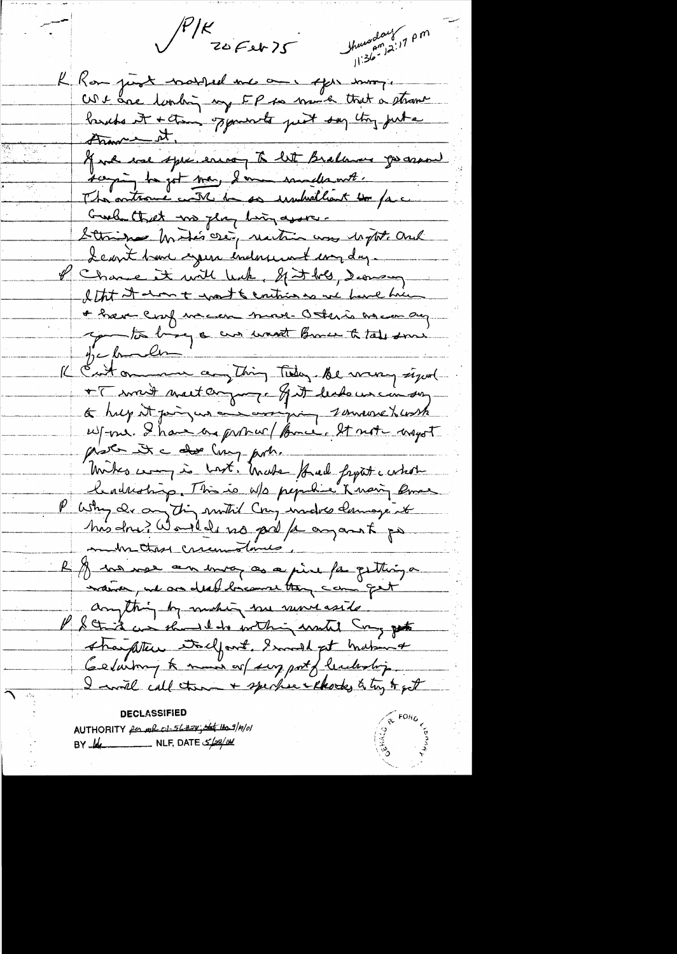$\sqrt{\frac{P/K}{205}}$ 

 $\frac{1}{\sqrt{2\pi}}\frac{1}{\sqrt{2\pi}}\left(\frac{1}{2}\right)^{\frac{1}{2}}$ 

thursday<br>thursday<br>11:36-2:17 PM

K Rom just notted me and efter som, We are looking my EP to mind that a strange lands it + them oppourants put say they put a And we speciente to let Bralance go and saying to get me I am indicat. The antrane with to so immediant to face Greek that we play ling avore. Strips hotes ose, rection was hight and Leant bar ingen indonement com day. of Chance it will leak, If it bes, demany I that it along to grant & contrios as we have him of have confuncion more other is an compre you to by a cur want Brace to take some  $y_c$  for line Il Enton more anything Tiday. Be weary signal + [ sont matter groupe got dechaus cin son a hught point and correspone tomasse husthe wf-our. Shave as probable former. It not usest plater it a dos ling port.<br>Miks was in Lost, Under Had fryst whole lendristing. This is w/s pepulie Knowy Bree P Why de anything mother comp under damage it his dru ? Would no prefe angant po metre cremolanes R y un vou au moy as a pine fai quettinga waiver, we are deed brown they can get anything by making me more aside sharpten todfort, I make that in Gelariony to man or surport of leadership. I will call them + sperher thooks to try to get

**DECLASSIFIED** AUTHORITY for mil 01-56#24; the 110/01 BY  $\frac{1}{4}$  NLF, DATE  $\frac{2}{2}$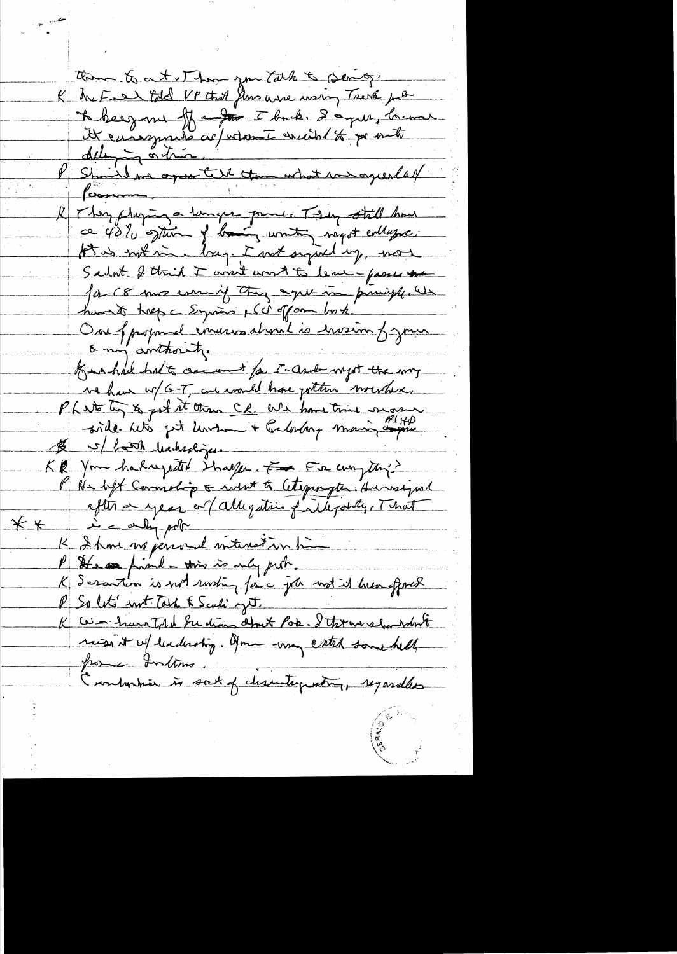Com & at Thomps Talk & Sendy It besynne ff - for I back. I apre, la mer R They pluging a lunger point. They still have ce village. Sturm of landing uniting myst evillage. for is not in a bag. I not signed up, not Sadot & this I want wort to learn passes the for 18 mos com if they agree in principle. Un havent trep a Engineer p (c) ofform bush. One of proposed coveres about is erviron france Kno had had to cecan to I- and myst the my we have w/ G-T, and would have jotten wounder. Phinto to 7 ist it than CR. We have tried surger \$ 5/ hatch hacked jes. KR You halugette italje Franconjette P Ne deft Commelig & sint to Cetepongton Heinzignal  $*$  $\lambda = \alpha \ln p$ K Ihme no permed interestion time P It a private this is only prob. K Scrantin is not rusting for c job not it hver offered P So let' not Task & Scali yet. K Ces - have Told Su dias about Pok. I thran show white raise it w/ leadership. Jon -way catch some hell pome Intime. Contantier in sort of clientementing, regardles